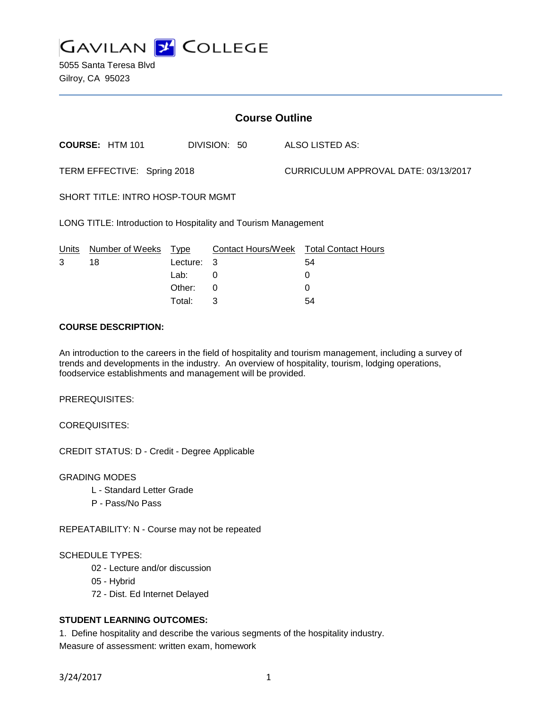

5055 Santa Teresa Blvd Gilroy, CA 95023

| <b>Course Outline</b>                                          |                        |          |              |  |                                      |                                        |
|----------------------------------------------------------------|------------------------|----------|--------------|--|--------------------------------------|----------------------------------------|
|                                                                | <b>COURSE: HTM 101</b> |          | DIVISION: 50 |  |                                      | ALSO LISTED AS:                        |
| TERM EFFECTIVE: Spring 2018                                    |                        |          |              |  | CURRICULUM APPROVAL DATE: 03/13/2017 |                                        |
| SHORT TITLE: INTRO HOSP-TOUR MGMT                              |                        |          |              |  |                                      |                                        |
| LONG TITLE: Introduction to Hospitality and Tourism Management |                        |          |              |  |                                      |                                        |
| Units                                                          | Number of Weeks        | Type     |              |  |                                      | Contact Hours/Week Total Contact Hours |
| 3                                                              | 18                     | Lecture: | 3            |  |                                      | 54                                     |
|                                                                |                        | Lab:     | 0            |  |                                      | 0                                      |
|                                                                |                        | Other:   | 0            |  |                                      | 0                                      |

#### **COURSE DESCRIPTION:**

An introduction to the careers in the field of hospitality and tourism management, including a survey of trends and developments in the industry. An overview of hospitality, tourism, lodging operations, foodservice establishments and management will be provided.

Total: 3 54

PREREQUISITES:

COREQUISITES:

CREDIT STATUS: D - Credit - Degree Applicable

GRADING MODES

- L Standard Letter Grade
- P Pass/No Pass

REPEATABILITY: N - Course may not be repeated

#### SCHEDULE TYPES:

- 02 Lecture and/or discussion
- 05 Hybrid
- 72 Dist. Ed Internet Delayed

## **STUDENT LEARNING OUTCOMES:**

1. Define hospitality and describe the various segments of the hospitality industry. Measure of assessment: written exam, homework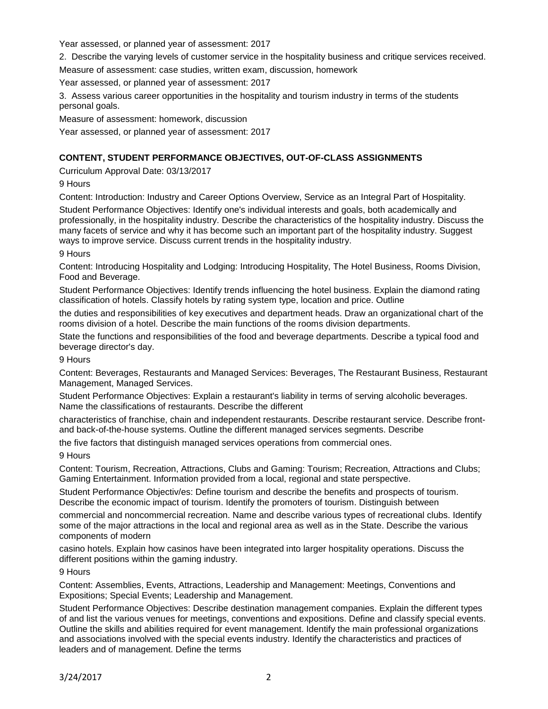Year assessed, or planned year of assessment: 2017

2. Describe the varying levels of customer service in the hospitality business and critique services received.

Measure of assessment: case studies, written exam, discussion, homework

Year assessed, or planned year of assessment: 2017

3. Assess various career opportunities in the hospitality and tourism industry in terms of the students personal goals.

Measure of assessment: homework, discussion

Year assessed, or planned year of assessment: 2017

# **CONTENT, STUDENT PERFORMANCE OBJECTIVES, OUT-OF-CLASS ASSIGNMENTS**

Curriculum Approval Date: 03/13/2017

9 Hours

Content: Introduction: Industry and Career Options Overview, Service as an Integral Part of Hospitality. Student Performance Objectives: Identify one's individual interests and goals, both academically and professionally, in the hospitality industry. Describe the characteristics of the hospitality industry. Discuss the many facets of service and why it has become such an important part of the hospitality industry. Suggest ways to improve service. Discuss current trends in the hospitality industry.

9 Hours

Content: Introducing Hospitality and Lodging: Introducing Hospitality, The Hotel Business, Rooms Division, Food and Beverage.

Student Performance Objectives: Identify trends influencing the hotel business. Explain the diamond rating classification of hotels. Classify hotels by rating system type, location and price. Outline

the duties and responsibilities of key executives and department heads. Draw an organizational chart of the rooms division of a hotel. Describe the main functions of the rooms division departments.

State the functions and responsibilities of the food and beverage departments. Describe a typical food and beverage director's day.

9 Hours

Content: Beverages, Restaurants and Managed Services: Beverages, The Restaurant Business, Restaurant Management, Managed Services.

Student Performance Objectives: Explain a restaurant's liability in terms of serving alcoholic beverages. Name the classifications of restaurants. Describe the different

characteristics of franchise, chain and independent restaurants. Describe restaurant service. Describe frontand back-of-the-house systems. Outline the different managed services segments. Describe

the five factors that distinguish managed services operations from commercial ones.

9 Hours

Content: Tourism, Recreation, Attractions, Clubs and Gaming: Tourism; Recreation, Attractions and Clubs; Gaming Entertainment. Information provided from a local, regional and state perspective.

Student Performance Objectiv/es: Define tourism and describe the benefits and prospects of tourism. Describe the economic impact of tourism. Identify the promoters of tourism. Distinguish between

commercial and noncommercial recreation. Name and describe various types of recreational clubs. Identify some of the major attractions in the local and regional area as well as in the State. Describe the various components of modern

casino hotels. Explain how casinos have been integrated into larger hospitality operations. Discuss the different positions within the gaming industry.

9 Hours

Content: Assemblies, Events, Attractions, Leadership and Management: Meetings, Conventions and Expositions; Special Events; Leadership and Management.

Student Performance Objectives: Describe destination management companies. Explain the different types of and list the various venues for meetings, conventions and expositions. Define and classify special events. Outline the skills and abilities required for event management. Identify the main professional organizations and associations involved with the special events industry. Identify the characteristics and practices of leaders and of management. Define the terms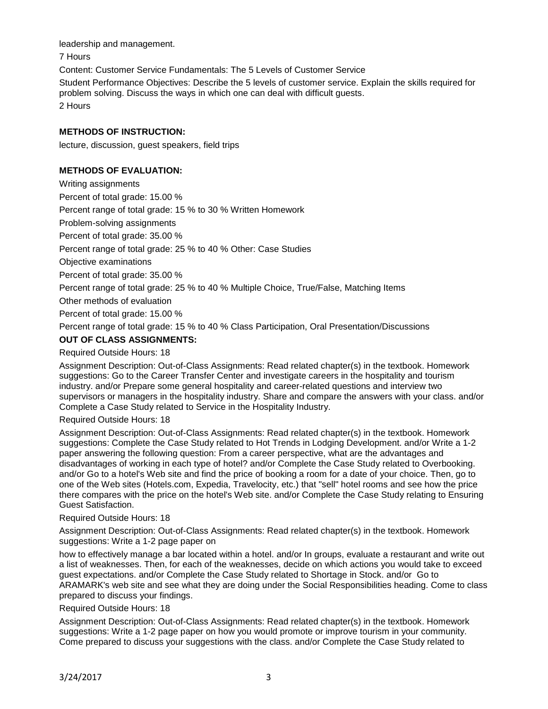leadership and management.

7 Hours

Content: Customer Service Fundamentals: The 5 Levels of Customer Service Student Performance Objectives: Describe the 5 levels of customer service. Explain the skills required for problem solving. Discuss the ways in which one can deal with difficult guests. 2 Hours

# **METHODS OF INSTRUCTION:**

lecture, discussion, guest speakers, field trips

# **METHODS OF EVALUATION:**

Writing assignments

Percent of total grade: 15.00 %

Percent range of total grade: 15 % to 30 % Written Homework

Problem-solving assignments

Percent of total grade: 35.00 %

Percent range of total grade: 25 % to 40 % Other: Case Studies

Objective examinations

Percent of total grade: 35.00 %

Percent range of total grade: 25 % to 40 % Multiple Choice, True/False, Matching Items

Other methods of evaluation

Percent of total grade: 15.00 %

Percent range of total grade: 15 % to 40 % Class Participation, Oral Presentation/Discussions

# **OUT OF CLASS ASSIGNMENTS:**

#### Required Outside Hours: 18

Assignment Description: Out-of-Class Assignments: Read related chapter(s) in the textbook. Homework suggestions: Go to the Career Transfer Center and investigate careers in the hospitality and tourism industry. and/or Prepare some general hospitality and career-related questions and interview two supervisors or managers in the hospitality industry. Share and compare the answers with your class. and/or Complete a Case Study related to Service in the Hospitality Industry.

#### Required Outside Hours: 18

Assignment Description: Out-of-Class Assignments: Read related chapter(s) in the textbook. Homework suggestions: Complete the Case Study related to Hot Trends in Lodging Development. and/or Write a 1-2 paper answering the following question: From a career perspective, what are the advantages and disadvantages of working in each type of hotel? and/or Complete the Case Study related to Overbooking. and/or Go to a hotel's Web site and find the price of booking a room for a date of your choice. Then, go to one of the Web sites (Hotels.com, Expedia, Travelocity, etc.) that "sell" hotel rooms and see how the price there compares with the price on the hotel's Web site. and/or Complete the Case Study relating to Ensuring Guest Satisfaction.

## Required Outside Hours: 18

Assignment Description: Out-of-Class Assignments: Read related chapter(s) in the textbook. Homework suggestions: Write a 1-2 page paper on

how to effectively manage a bar located within a hotel. and/or In groups, evaluate a restaurant and write out a list of weaknesses. Then, for each of the weaknesses, decide on which actions you would take to exceed guest expectations. and/or Complete the Case Study related to Shortage in Stock. and/or Go to ARAMARK's web site and see what they are doing under the Social Responsibilities heading. Come to class prepared to discuss your findings.

## Required Outside Hours: 18

Assignment Description: Out-of-Class Assignments: Read related chapter(s) in the textbook. Homework suggestions: Write a 1-2 page paper on how you would promote or improve tourism in your community. Come prepared to discuss your suggestions with the class. and/or Complete the Case Study related to